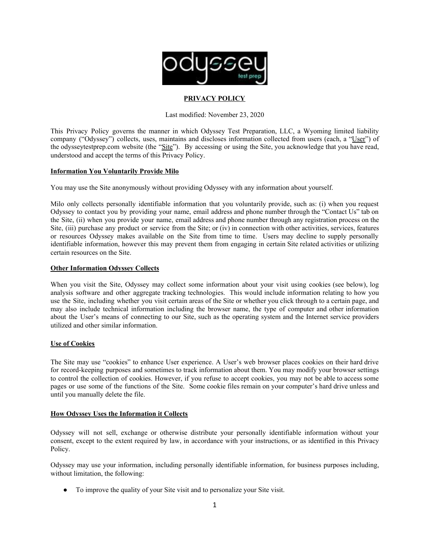

# **PRIVACY POLICY**

Last modified: November 23, 2020

This Privacy Policy governs the manner in which Odyssey Test Preparation, LLC, a Wyoming limited liability company ("Odyssey") collects, uses, maintains and discloses information collected from users (each, a "User") of the odysseytestprep.com website (the "Site"). By accessing or using the Site, you acknowledge that you have read, understood and accept the terms of this Privacy Policy.

## **Information You Voluntarily Provide Milo**

You may use the Site anonymously without providing Odyssey with any information about yourself.

Milo only collects personally identifiable information that you voluntarily provide, such as: (i) when you request Odyssey to contact you by providing your name, email address and phone number through the "Contact Us" tab on the Site, (ii) when you provide your name, email address and phone number through any registration process on the Site, (iii) purchase any product or service from the Site; or (iv) in connection with other activities, services, features or resources Odyssey makes available on the Site from time to time. Users may decline to supply personally identifiable information, however this may prevent them from engaging in certain Site related activities or utilizing certain resources on the Site.

## **Other Information Odyssey Collects**

When you visit the Site, Odyssey may collect some information about your visit using cookies (see below), log analysis software and other aggregate tracking technologies. This would include information relating to how you use the Site, including whether you visit certain areas of the Site or whether you click through to a certain page, and may also include technical information including the browser name, the type of computer and other information about the User's means of connecting to our Site, such as the operating system and the Internet service providers utilized and other similar information.

# **Use of Cookies**

The Site may use "cookies" to enhance User experience. A User's web browser places cookies on their hard drive for record-keeping purposes and sometimes to track information about them. You may modify your browser settings to control the collection of cookies. However, if you refuse to accept cookies, you may not be able to access some pages or use some of the functions of the Site. Some cookie files remain on your computer's hard drive unless and until you manually delete the file.

# **How Odyssey Uses the Information it Collects**

Odyssey will not sell, exchange or otherwise distribute your personally identifiable information without your consent, except to the extent required by law, in accordance with your instructions, or as identified in this Privacy Policy.

Odyssey may use your information, including personally identifiable information, for business purposes including, without limitation, the following:

● To improve the quality of your Site visit and to personalize your Site visit.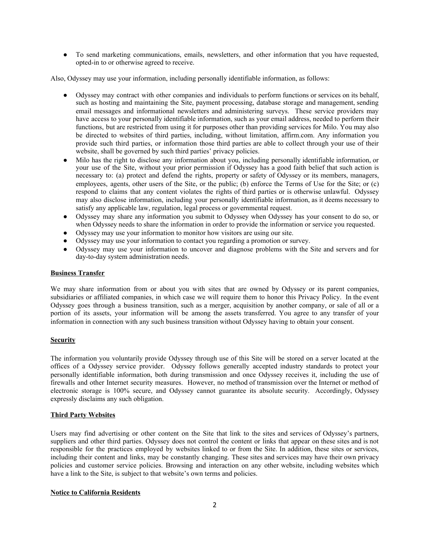● To send marketing communications, emails, newsletters, and other information that you have requested, opted-in to or otherwise agreed to receive.

Also, Odyssey may use your information, including personally identifiable information, as follows:

- Odyssey may contract with other companies and individuals to perform functions or services on its behalf. such as hosting and maintaining the Site, payment processing, database storage and management, sending email messages and informational newsletters and administering surveys. These service providers may have access to your personally identifiable information, such as your email address, needed to perform their functions, but are restricted from using it for purposes other than providing services for Milo. You may also be directed to websites of third parties, including, without limitation, affirm.com. Any information you provide such third parties, or information those third parties are able to collect through your use of their website, shall be governed by such third parties' privacy policies.
- Milo has the right to disclose any information about you, including personally identifiable information, or your use of the Site, without your prior permission if Odyssey has a good faith belief that such action is necessary to: (a) protect and defend the rights, property or safety of Odyssey or its members, managers, employees, agents, other users of the Site, or the public; (b) enforce the Terms of Use for the Site; or (c) respond to claims that any content violates the rights of third parties or is otherwise unlawful. Odyssey may also disclose information, including your personally identifiable information, as it deems necessary to satisfy any applicable law, regulation, legal process or governmental request.
- Odyssey may share any information you submit to Odyssey when Odyssey has your consent to do so, or when Odyssey needs to share the information in order to provide the information or service you requested.
- Odyssey may use your information to monitor how visitors are using our site.
- Odyssey may use your information to contact you regarding a promotion or survey.
- Odyssey may use your information to uncover and diagnose problems with the Site and servers and for day-to-day system administration needs.

#### **Business Transfer**

We may share information from or about you with sites that are owned by Odyssey or its parent companies, subsidiaries or affiliated companies, in which case we will require them to honor this Privacy Policy. In the event Odyssey goes through a business transition, such as a merger, acquisition by another company, or sale of all or a portion of its assets, your information will be among the assets transferred. You agree to any transfer of your information in connection with any such business transition without Odyssey having to obtain your consent.

### **Security**

The information you voluntarily provide Odyssey through use of this Site will be stored on a server located at the offices of a Odyssey service provider. Odyssey follows generally accepted industry standards to protect your personally identifiable information, both during transmission and once Odyssey receives it, including the use of firewalls and other Internet security measures. However, no method of transmission over the Internet or method of electronic storage is 100% secure, and Odyssey cannot guarantee its absolute security. Accordingly, Odyssey expressly disclaims any such obligation.

#### **Third Party Websites**

Users may find advertising or other content on the Site that link to the sites and services of Odyssey's partners, suppliers and other third parties. Odyssey does not control the content or links that appear on these sites and is not responsible for the practices employed by websites linked to or from the Site. In addition, these sites or services, including their content and links, may be constantly changing. These sites and services may have their own privacy policies and customer service policies. Browsing and interaction on any other website, including websites which have a link to the Site, is subject to that website's own terms and policies.

### **Notice to California Residents**